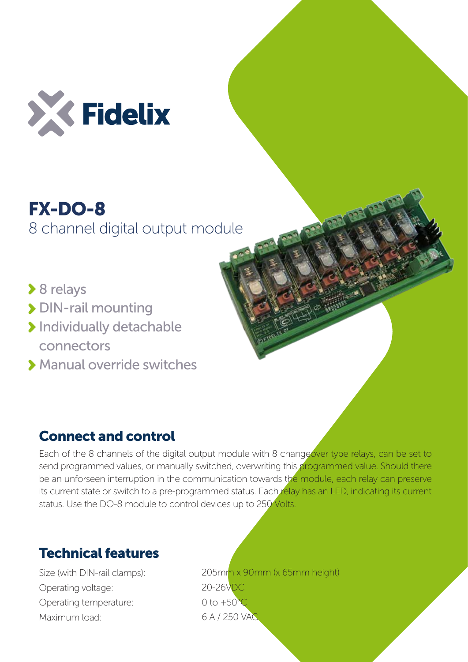

## FX-DO-8 8 channel digital output module

- **▶ 8 relays**
- > DIN-rail mounting
- > Individually detachable connectors
- Manual override switches

## Connect and control

Each of the 8 channels of the digital output module with 8 changeover type relays, can be set to send programmed values, or manually switched, overwriting this programmed value. Should there be an unforseen interruption in the communication towards the module, each relay can preserve its current state or switch to a pre-programmed status. Each relay has an LED, indicating its current status. Use the DO-8 module to control devices up to 250 Volts.

## Technical features

Size (with DIN-rail clamps): Operating voltage: Operating temperature: Maximum load:

205mm x 90mm (x 65mm height) 20-26VDC 0 to  $+50^{\circ}$ C 6 A / 250 VAC